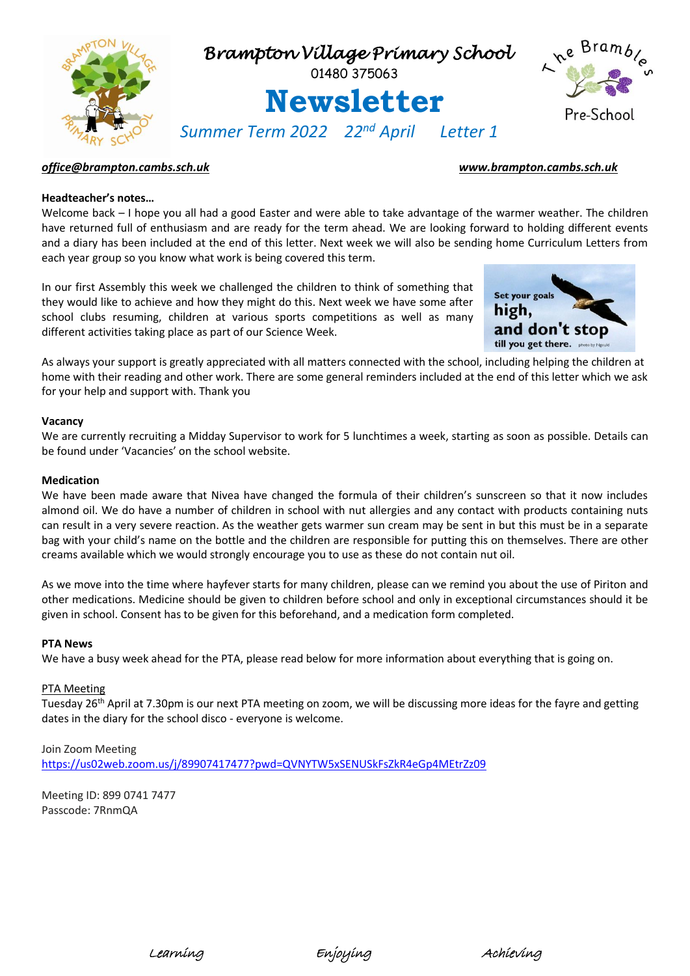

# *[office@brampton.cambs.sch.uk](mailto:office@brampton.cambs.sch.uk) [www.brampton.cambs.sch.uk](http://www.brampton.cambs.sch.uk/)*

# **Headteacher's notes…**

Welcome back – I hope you all had a good Easter and were able to take advantage of the warmer weather. The children have returned full of enthusiasm and are ready for the term ahead. We are looking forward to holding different events and a diary has been included at the end of this letter. Next week we will also be sending home Curriculum Letters from each year group so you know what work is being covered this term.

In our first Assembly this week we challenged the children to think of something that they would like to achieve and how they might do this. Next week we have some after school clubs resuming, children at various sports competitions as well as many different activities taking place as part of our Science Week.



As always your support is greatly appreciated with all matters connected with the school, including helping the children at home with their reading and other work. There are some general reminders included at the end of this letter which we ask for your help and support with. Thank you

#### **Vacancy**

We are currently recruiting a Midday Supervisor to work for 5 lunchtimes a week, starting as soon as possible. Details can be found under 'Vacancies' on the school website.

#### **Medication**

We have been made aware that Nivea have changed the formula of their children's sunscreen so that it now includes almond oil. We do have a number of children in school with nut allergies and any contact with products containing nuts can result in a very severe reaction. As the weather gets warmer sun cream may be sent in but this must be in a separate bag with your child's name on the bottle and the children are responsible for putting this on themselves. There are other creams available which we would strongly encourage you to use as these do not contain nut oil.

As we move into the time where hayfever starts for many children, please can we remind you about the use of Piriton and other medications. Medicine should be given to children before school and only in exceptional circumstances should it be given in school. Consent has to be given for this beforehand, and a medication form completed.

#### **PTA News**

We have a busy week ahead for the PTA, please read below for more information about everything that is going on.

#### PTA Meeting

Tuesday 26<sup>th</sup> April at 7.30pm is our next PTA meeting on zoom, we will be discussing more ideas for the fayre and getting dates in the diary for the school disco - everyone is welcome.

# Join Zoom Meeting

<https://us02web.zoom.us/j/89907417477?pwd=QVNYTW5xSENUSkFsZkR4eGp4MEtrZz09>

Meeting ID: 899 0741 7477 Passcode: 7RnmQA



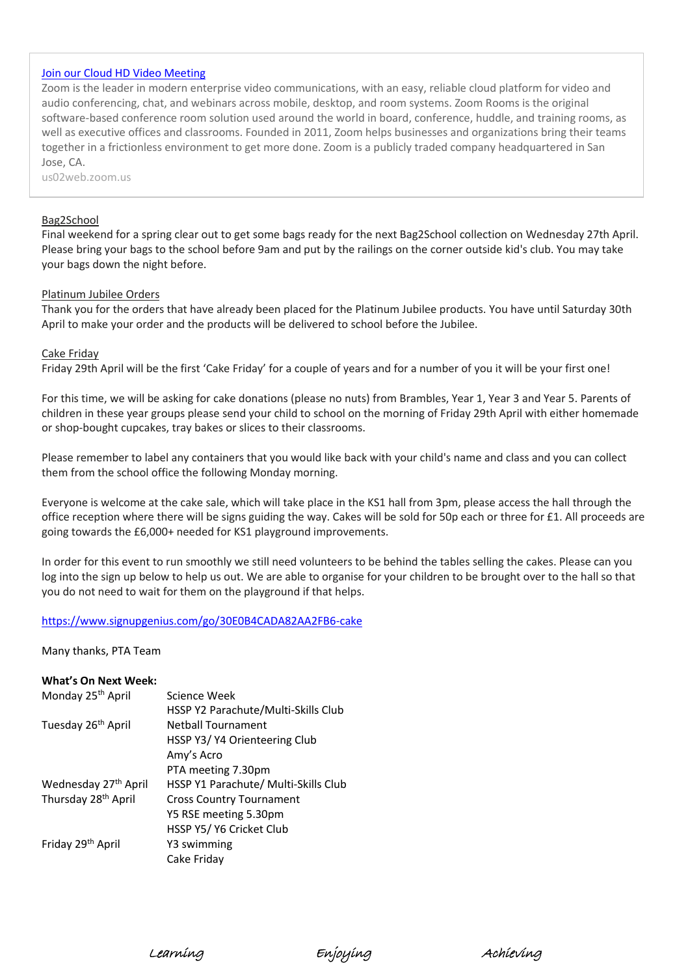# [Join our Cloud HD Video Meeting](https://us02web.zoom.us/j/89907417477?pwd=QVNYTW5xSENUSkFsZkR4eGp4MEtrZz09)

Zoom is the leader in modern enterprise video communications, with an easy, reliable cloud platform for video and audio conferencing, chat, and webinars across mobile, desktop, and room systems. Zoom Rooms is the original software-based conference room solution used around the world in board, conference, huddle, and training rooms, as well as executive offices and classrooms. Founded in 2011, Zoom helps businesses and organizations bring their teams together in a frictionless environment to get more done. Zoom is a publicly traded company headquartered in San Jose, CA.

us02web.zoom.us

## Bag2School

Final weekend for a spring clear out to get some bags ready for the next Bag2School collection on Wednesday 27th April. Please bring your bags to the school before 9am and put by the railings on the corner outside kid's club. You may take your bags down the night before.

## Platinum Jubilee Orders

Thank you for the orders that have already been placed for the Platinum Jubilee products. You have until Saturday 30th April to make your order and the products will be delivered to school before the Jubilee.

## Cake Friday

Friday 29th April will be the first 'Cake Friday' for a couple of years and for a number of you it will be your first one!

For this time, we will be asking for cake donations (please no nuts) from Brambles, Year 1, Year 3 and Year 5. Parents of children in these year groups please send your child to school on the morning of Friday 29th April with either homemade or shop-bought cupcakes, tray bakes or slices to their classrooms.

Please remember to label any containers that you would like back with your child's name and class and you can collect them from the school office the following Monday morning.

Everyone is welcome at the cake sale, which will take place in the KS1 hall from 3pm, please access the hall through the office reception where there will be signs guiding the way. Cakes will be sold for 50p each or three for £1. All proceeds are going towards the £6,000+ needed for KS1 playground improvements.

In order for this event to run smoothly we still need volunteers to be behind the tables selling the cakes. Please can you log into the sign up below to help us out. We are able to organise for your children to be brought over to the hall so that you do not need to wait for them on the playground if that helps.

#### <https://www.signupgenius.com/go/30E0B4CADA82AA2FB6-cake>

Many thanks, PTA Team

## **What's On Next Week:**

| Monday 25 <sup>th</sup> April    | Science Week                         |
|----------------------------------|--------------------------------------|
|                                  | HSSP Y2 Parachute/Multi-Skills Club  |
| Tuesday 26 <sup>th</sup> April   | <b>Netball Tournament</b>            |
|                                  | HSSP Y3/Y4 Orienteering Club         |
|                                  | Amy's Acro                           |
|                                  | PTA meeting 7.30pm                   |
| Wednesday 27 <sup>th</sup> April | HSSP Y1 Parachute/ Multi-Skills Club |
| Thursday 28 <sup>th</sup> April  | <b>Cross Country Tournament</b>      |
|                                  | Y5 RSE meeting 5.30pm                |
|                                  | HSSP Y5/ Y6 Cricket Club             |
| Friday 29 <sup>th</sup> April    | Y3 swimming                          |
|                                  | Cake Friday                          |

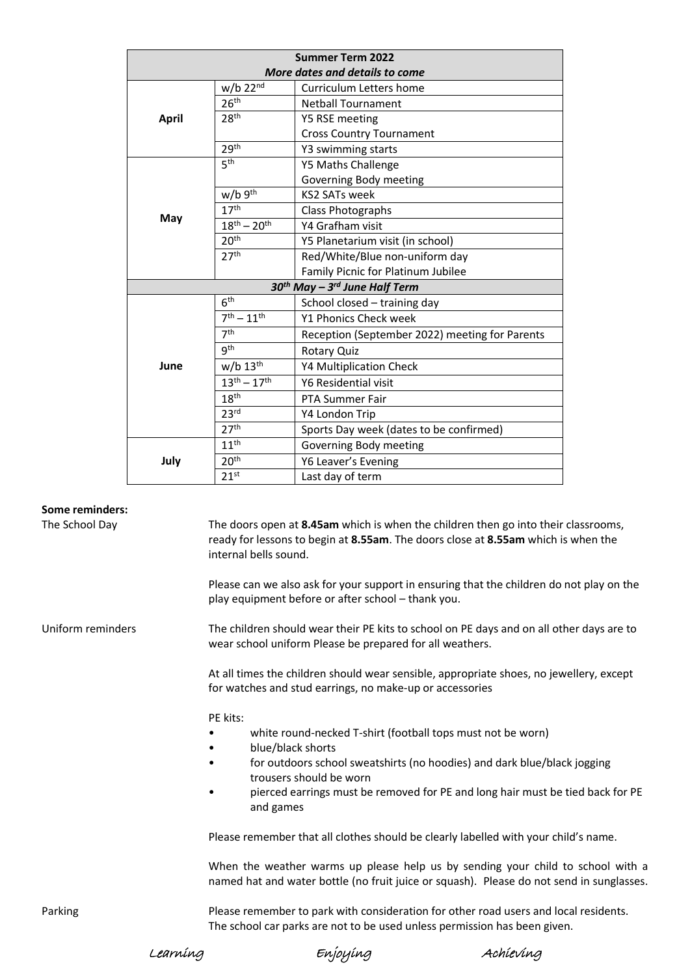| <b>Summer Term 2022</b>                     |                        |                                                |
|---------------------------------------------|------------------------|------------------------------------------------|
| More dates and details to come              |                        |                                                |
| <b>April</b>                                | $w/b$ 22 $nd$          | Curriculum Letters home                        |
|                                             | 26 <sup>th</sup>       | <b>Netball Tournament</b>                      |
|                                             | 28 <sup>th</sup>       | Y5 RSE meeting                                 |
|                                             |                        | <b>Cross Country Tournament</b>                |
|                                             | 29 <sup>th</sup>       | Y3 swimming starts                             |
| May                                         | 5 <sup>th</sup>        | Y5 Maths Challenge                             |
|                                             |                        | Governing Body meeting                         |
|                                             | $w/b$ 9 <sup>th</sup>  | <b>KS2 SATs week</b>                           |
|                                             | 17 <sup>th</sup>       | Class Photographs                              |
|                                             | $18^{th} - 20^{th}$    | Y4 Grafham visit                               |
|                                             | 20 <sup>th</sup>       | Y5 Planetarium visit (in school)               |
|                                             | 27 <sup>th</sup>       | Red/White/Blue non-uniform day                 |
|                                             |                        | Family Picnic for Platinum Jubilee             |
| $30th$ May - 3 <sup>rd</sup> June Half Term |                        |                                                |
| June                                        | 6 <sup>th</sup>        | School closed - training day                   |
|                                             | $7^{th} - 11^{th}$     | Y1 Phonics Check week                          |
|                                             | 7 <sup>th</sup>        | Reception (September 2022) meeting for Parents |
|                                             | gth                    | <b>Rotary Quiz</b>                             |
|                                             | $w/b$ 13 <sup>th</sup> | <b>Y4 Multiplication Check</b>                 |
|                                             | $13^{th} - 17^{th}$    | Y6 Residential visit                           |
|                                             | 18 <sup>th</sup>       | <b>PTA Summer Fair</b>                         |
|                                             | 23 <sup>rd</sup>       | Y4 London Trip                                 |
|                                             | 27 <sup>th</sup>       | Sports Day week (dates to be confirmed)        |
| July                                        | 11 <sup>th</sup>       | Governing Body meeting                         |
|                                             | 20 <sup>th</sup>       | Y6 Leaver's Evening                            |
|                                             | 21 <sup>st</sup>       | Last day of term                               |

# **Some reminders:**

The School Day The doors open at **8.45am** which is when the children then go into their classrooms, ready for lessons to begin at **8.55am**. The doors close at **8.55am** which is when the internal bells sound.

> Please can we also ask for your support in ensuring that the children do not play on the play equipment before or after school – thank you.

Uniform reminders The children should wear their PE kits to school on PE days and on all other days are to wear school uniform Please be prepared for all weathers.

> At all times the children should wear sensible, appropriate shoes, no jewellery, except for watches and stud earrings, no make-up or accessories

PE kits:

- white round-necked T-shirt (football tops must not be worn)
- blue/black shorts
- for outdoors school sweatshirts (no hoodies) and dark blue/black jogging trousers should be worn
- pierced earrings must be removed for PE and long hair must be tied back for PE and games

Please remember that all clothes should be clearly labelled with your child's name.

When the weather warms up please help us by sending your child to school with a named hat and water bottle (no fruit juice or squash). Please do not send in sunglasses.

Parking Please remember to park with consideration for other road users and local residents. The school car parks are not to be used unless permission has been given.

Learning Enjoying Achieving